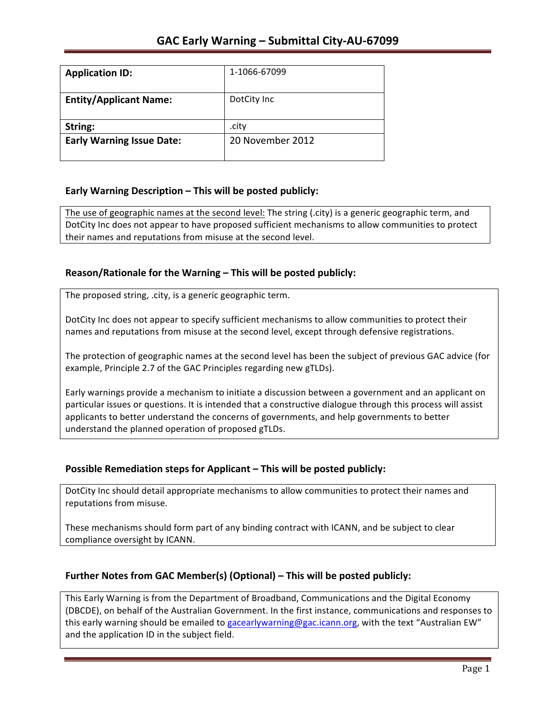| <b>Application ID:</b>           | 1-1066-67099     |
|----------------------------------|------------------|
|                                  |                  |
| <b>Entity/Applicant Name:</b>    | DotCity Inc      |
|                                  |                  |
| String:                          | .city            |
| <b>Early Warning Issue Date:</b> | 20 November 2012 |
|                                  |                  |

### **Early Warning Description – This will be posted publicly:**

The use of geographic names at the second level: The string (.city) is a generic geographic term, and DotCity Inc does not appear to have proposed sufficient mechanisms to allow communities to protect their names and reputations from misuse at the second level.

## Reason/Rationale for the Warning - This will be posted publicly:

The proposed string, .city, is a generic geographic term.

DotCity Inc does not appear to specify sufficient mechanisms to allow communities to protect their names and reputations from misuse at the second level, except through defensive registrations.

The protection of geographic names at the second level has been the subject of previous GAC advice (for example, Principle 2.7 of the GAC Principles regarding new gTLDs).

Early warnings provide a mechanism to initiate a discussion between a government and an applicant on particular issues or questions. It is intended that a constructive dialogue through this process will assist applicants to better understand the concerns of governments, and help governments to better understand the planned operation of proposed gTLDs.

### **Possible Remediation steps for Applicant – This will be posted publicly:**

DotCity Inc should detail appropriate mechanisms to allow communities to protect their names and reputations from misuse.

These mechanisms should form part of any binding contract with ICANN, and be subject to clear compliance oversight by ICANN.

### **Further Notes from GAC Member(s) (Optional) – This will be posted publicly:**

This Early Warning is from the Department of Broadband, Communications and the Digital Economy (DBCDE), on behalf of the Australian Government. In the first instance, communications and responses to this early warning should be emailed to gacearlywarning@gac.icann.org, with the text "Australian EW" and the application ID in the subject field.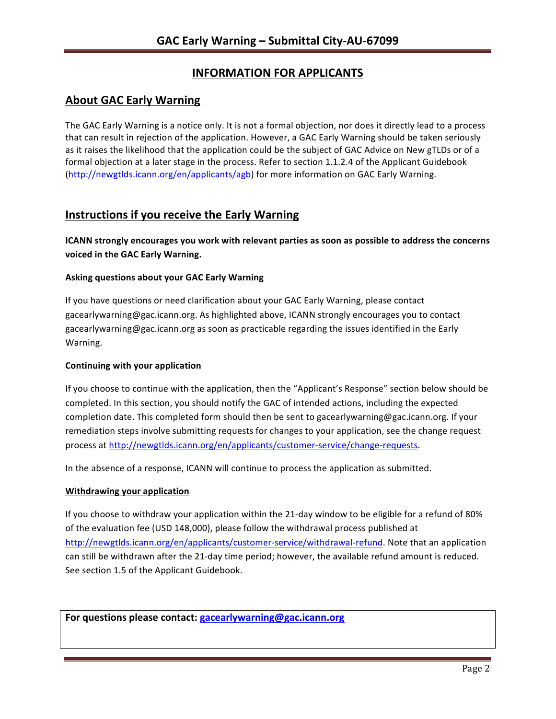# **INFORMATION FOR APPLICANTS**

## **About GAC Early Warning**

The GAC Early Warning is a notice only. It is not a formal objection, nor does it directly lead to a process that can result in rejection of the application. However, a GAC Early Warning should be taken seriously as it raises the likelihood that the application could be the subject of GAC Advice on New gTLDs or of a formal objection at a later stage in the process. Refer to section 1.1.2.4 of the Applicant Guidebook (http://newgtlds.icann.org/en/applicants/agb) for more information on GAC Early Warning.

## **Instructions if you receive the Early Warning**

**ICANN** strongly encourages you work with relevant parties as soon as possible to address the concerns **voiced in the GAC Early Warning.** 

#### **Asking questions about your GAC Early Warning**

If you have questions or need clarification about your GAC Early Warning, please contact gacearlywarning@gac.icann.org. As highlighted above, ICANN strongly encourages you to contact gacearlywarning@gac.icann.org as soon as practicable regarding the issues identified in the Early Warning. 

#### **Continuing with your application**

If you choose to continue with the application, then the "Applicant's Response" section below should be completed. In this section, you should notify the GAC of intended actions, including the expected completion date. This completed form should then be sent to gacearlywarning@gac.icann.org. If your remediation steps involve submitting requests for changes to your application, see the change request process at http://newgtlds.icann.org/en/applicants/customer-service/change-requests.

In the absence of a response, ICANN will continue to process the application as submitted.

#### **Withdrawing your application**

If you choose to withdraw your application within the 21-day window to be eligible for a refund of 80% of the evaluation fee (USD 148,000), please follow the withdrawal process published at http://newgtlds.icann.org/en/applicants/customer-service/withdrawal-refund. Note that an application can still be withdrawn after the 21-day time period; however, the available refund amount is reduced. See section 1.5 of the Applicant Guidebook.

For questions please contact: gacearlywarning@gac.icann.org